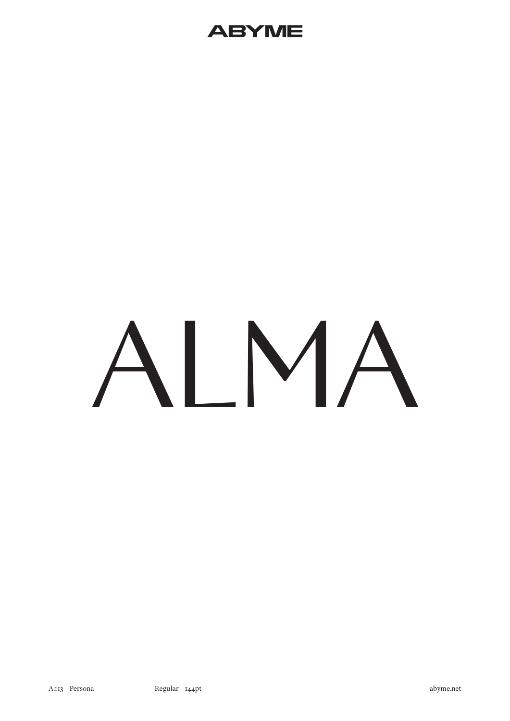

# **NMA**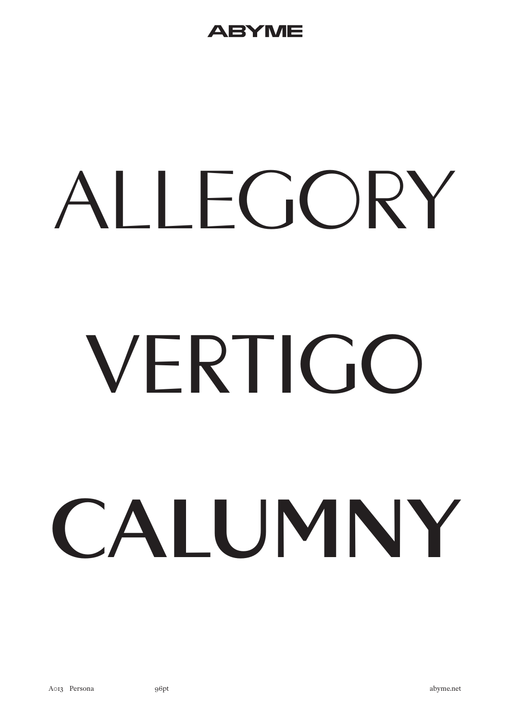#### 2Y ME

# ALLEGORY VFRTIGO CAIUMNY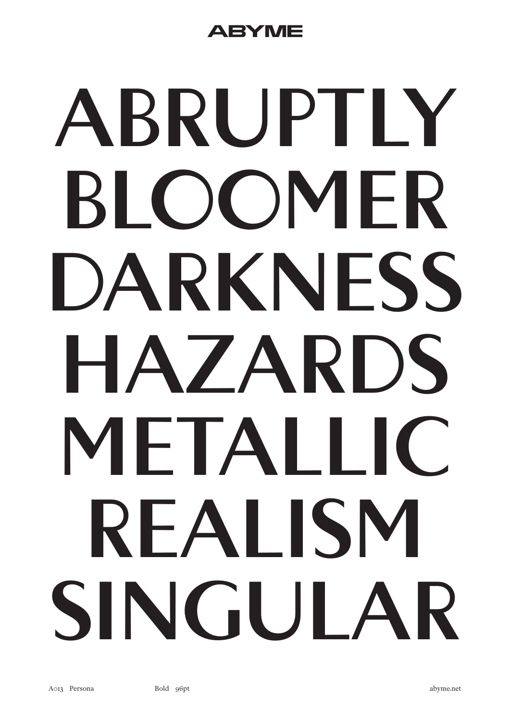#### BY ME

## ABRUPTIY BI OOMFR DARKNESS HAZARDS METALIC REALISM SINGUI AR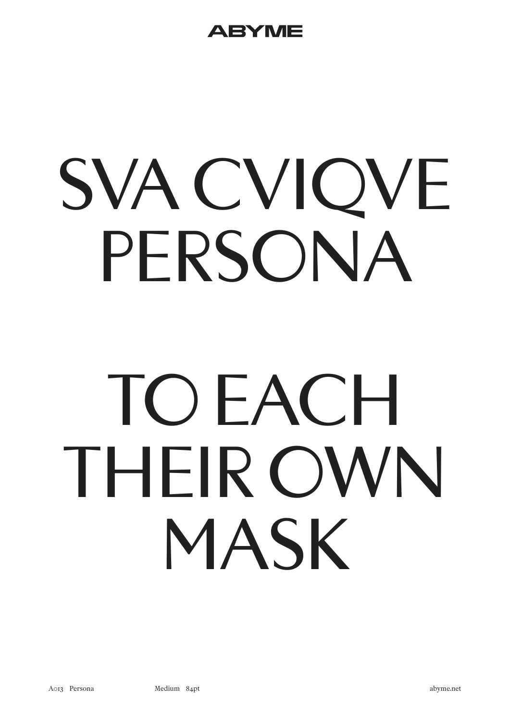## SVA CVIQVE PERSONA

## TOFACH THEIR OWN MASK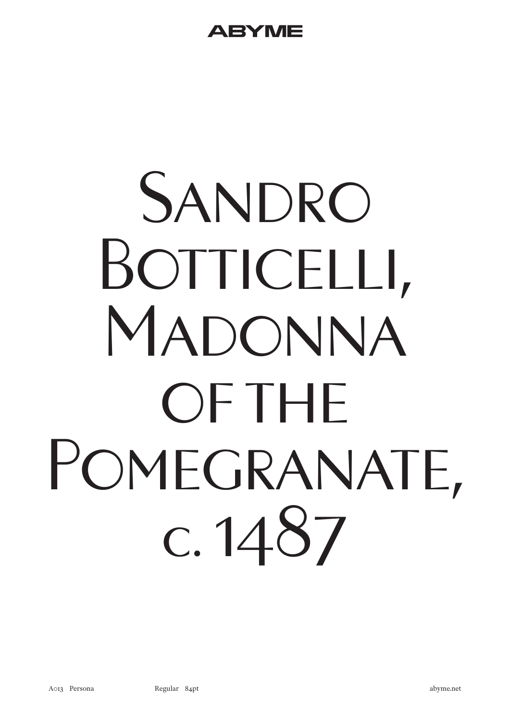## SANDRO BOTTICELLI, MADONNA OF THE POMEGRANATE, c. 1487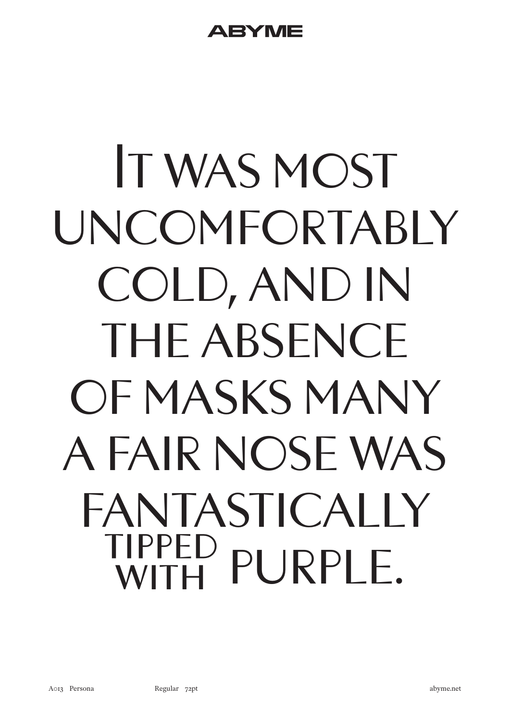## It was most uncomfortably cold, and in THE ABSENCE of masks many a fair nose was FANTASTICAI IY tipped with purple.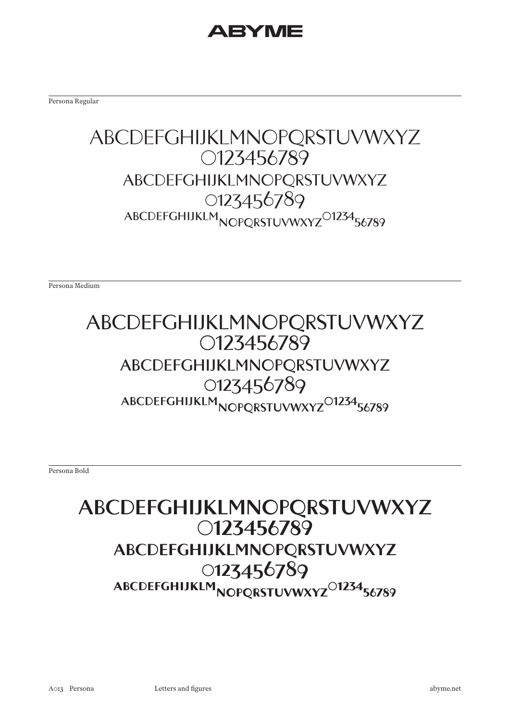#### **EYMI**

Persona Regular

#### ABCDEFGHIJKLMNOPQRSTUVWXYZ 0123456789 abcdefghijklmnopqrstuvwxyz 0123456789 ABCDEFGHIJKLM<sub>NOPORSTUVWXYZ</sub><sup>O1234</sup>56789

Persona Medium

#### ABCDEFGHIJKLMNOPQRSTUVWXYZ 0123456789 abcdefghijklmnopqrstuvwxyz 0123456789 ABCDEFGHIJKLM<sub>NOPORSTUVWXYZ</sub>O1234<sub>56789</sub>

Persona Bold

#### **ABCDEFGHIJKLMNOPQRSTUVWXYZ 0123456789 abcdefghijklmnopqrstuvwxyz 0123456789** ABCDEFGHIJKLM<sub>NOPORSTUVWXYZ</sub><sup>O1234</sup>56789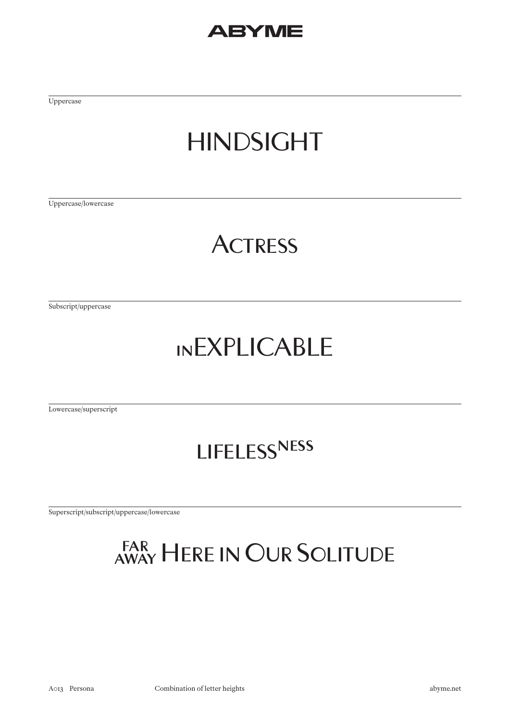Uppercase

### HINDSIGHT

Uppercase/lowercase

#### **ACTRESS**

Subscript/uppercase

#### inEXPLICABLE

Lowercase/superscript

#### lifelessness

Superscript/subscript/uppercase/lowercase

### away Here in Our Solitude far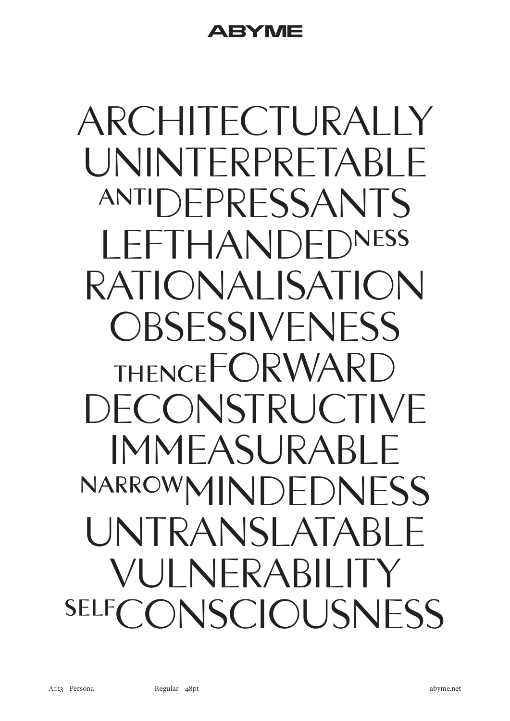ARCHITECTURALLY UNINTERPRETABL ANTIDEPRESSANTS LEFTHANDEDNESS RATIONALISATION OBSESSIVENESS THENCE<sup>F</sup>ORWARD DECONSTRUCTIVE IMMEASURAI NARROWMINDEDNESS UNTRANSLATABL VULNERABILIT SELFCONSCIOUSNESS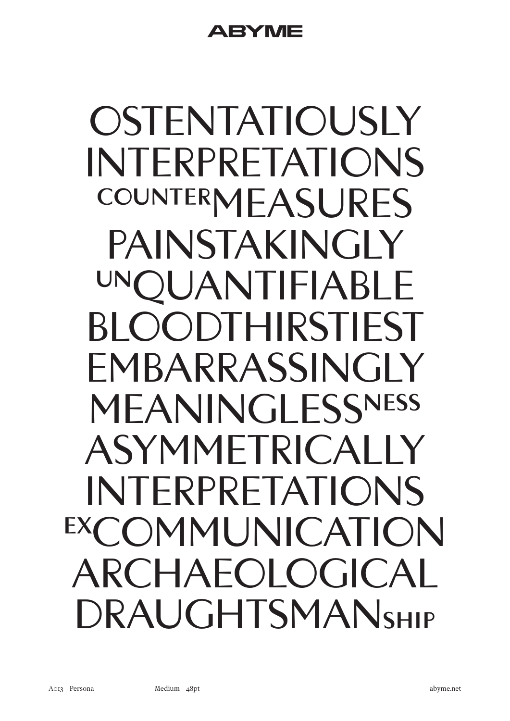A EY ME

OSTENTATIOUSLY INTERPRETATIONS COUNTERMEASURES PAINSTAKINGLY OUANTIFIABLE BLOODTHIRSTIEST EMBARRASSINGLY MEANINGLESSNESS ASYMMETRICALLY INTERPRETATIONS EXCOMMUNICATION ARCHAEOLOGICAL DRAUGHTSMANSHIP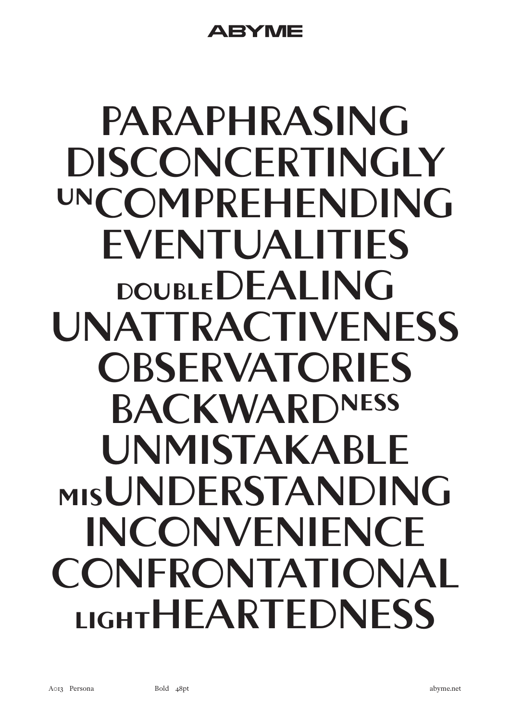#### A EY ME

## **PARAPHRASING DISCONCERTINGLY UNCOMPREHENDING EVENTUALITIES DOUBLEDEALING UNATTRACTIVENESS OBSERVATORIES BACKWARDNESS UNMISTAKABLE MISUNDERSTANDING INCONVENIENCE CONFRONTATIONAL LIGHTHEARTEDNESS**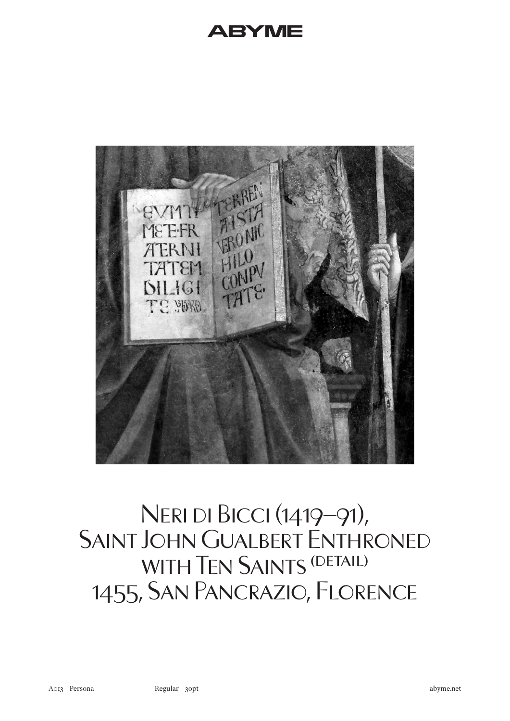

#### Neri di Bicci (1419–91), Saint John Gualbert Enthroned WITH TEN SAINTS (DETAIL) 1455, San Pancrazio, Florence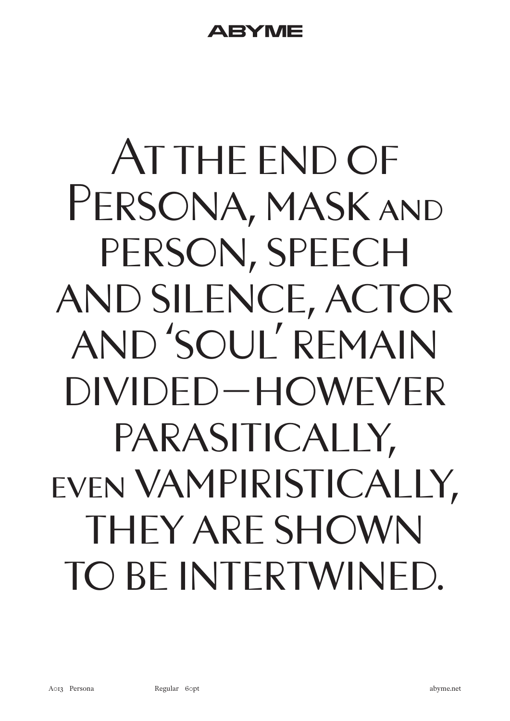## AT THE END OF PERSONA, MASK AND PERSON, SPEECH and silence, actor and 'soul' remain divided – however parasitically, even vampiristically, they are shown to be intertwined.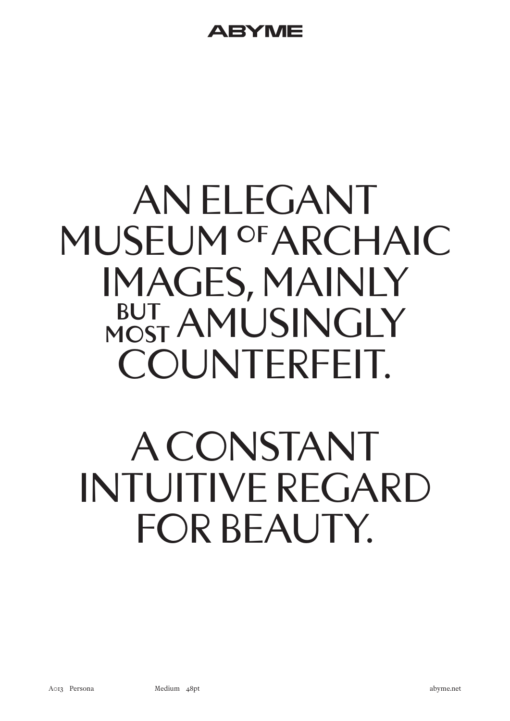## AN ELEGANT MUSEUM OF ARCHAIC IMAGES, MAINLY BUT AMUSINGLY COUNTERFEIT.

## A CONSTANT INTUITIVE REGARD FOR BEAUTY.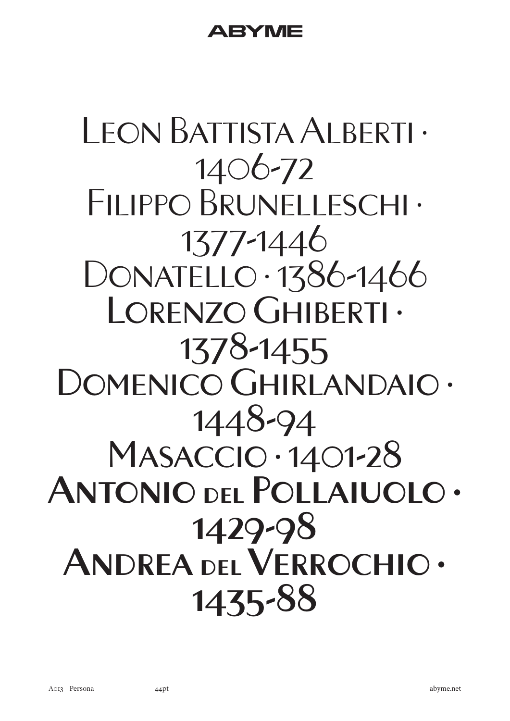### Leon Battista Alberti · 1406-72 FILIPPO BRUNELLESCHI · 1377-1446 DONATELLO · 1386-1466 Lorenzo Ghiberti · 1378-1455 DOMENICO GHIRLANDAIO · 1448-94 Masaccio · 1401-28 **Antonio del Pollaiuolo · 1429-98 Andrea del Verrochio · 1435-88**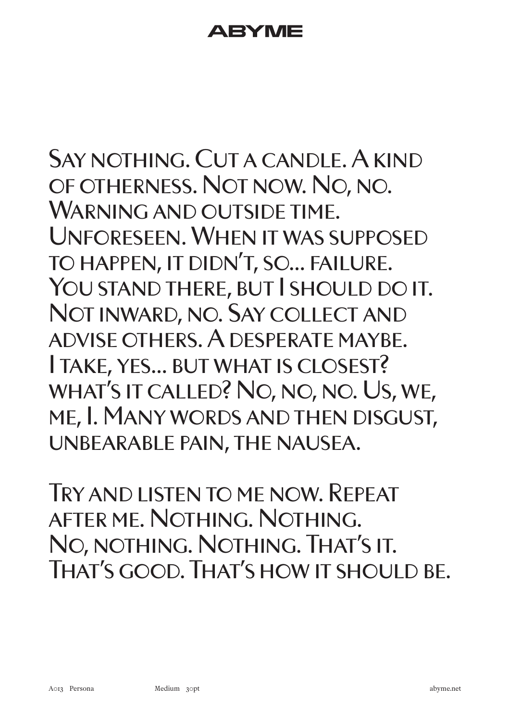#### ATENYIV

Say nothing. Cut a candle. A kind of otherness. Not now. No, no. WARNING AND OUTSIDE TIME. Unforeseen. When it was supposed to happen, it didn't, so… failure. YOU STAND THERE, BUT I SHOULD DO IT. Not inward, no. Say collect and advise others. A desperate maybe. I take, yes… but what is closest? what's it called? No, no, no. Us, we, me, I. Many words and then disgust, unbearable pain, the nausea.

Try and listen to me now. Repeat after me. Nothing. Nothing. No, nothing. Nothing. That's it. THAT'S GOOD. THAT'S HOW IT SHOULD BE.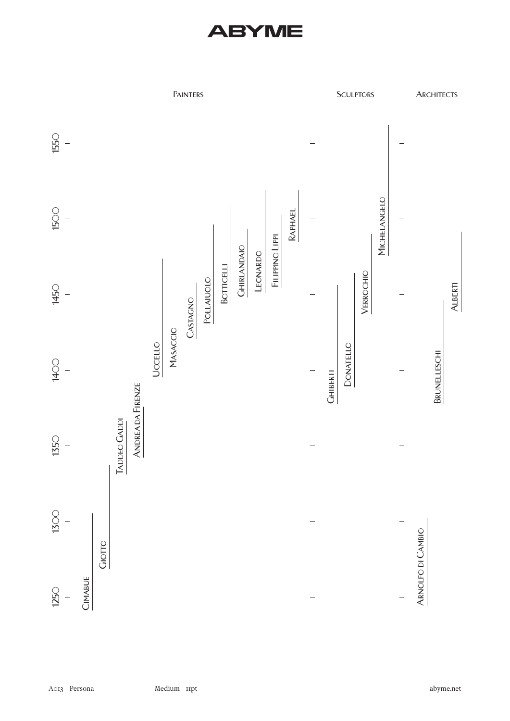#### BY MI

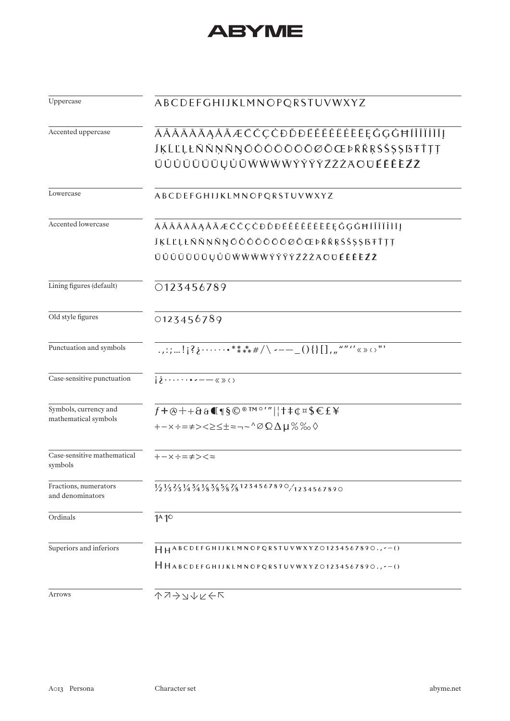| ABCDEFGHIJKLMNOPQRSTUVWXYZ                                                                                                                                                                                                                                                                                                                                                                                        |
|-------------------------------------------------------------------------------------------------------------------------------------------------------------------------------------------------------------------------------------------------------------------------------------------------------------------------------------------------------------------------------------------------------------------|
| ĀĂÂÄĀĀĄÅĀÆČČÇĊĐĎĐĒĚĚÊĖĖĒĒĘĞĢĠĦĪĬÎÏİĪĪĮ                                                                                                                                                                                                                                                                                                                                                                            |
| <b>JKLĽLŁŃŇŅÑŊŌŎÔŎŎŎŌØŌŒÞŔŘŖŚŠ\$\$BŦŤŢŢ</b>                                                                                                                                                                                                                                                                                                                                                                       |
| ŪŬÛÜŪŨŪŲŮŨŴŴŴŴŶŶŸŸŹŽŻAOÜÉĚÊÈŹŽ                                                                                                                                                                                                                                                                                                                                                                                    |
| ABCDEFGHIJKLMNOPQRSTUVWXYZ                                                                                                                                                                                                                                                                                                                                                                                        |
| ĀĂÂÄĀĀĄÅÃÆČČÇĊĐĎĐĒĚĚÊËĖĒĒĘĞĢĠĦĪĬÎÏİĪĮ                                                                                                                                                                                                                                                                                                                                                                             |
| <b>JĶĹĽĻŁŃŇŅÑŊŎŎÔŎŎŎŌØŎŒÞŔŘŖŚŠŞŞßŦŤŢŢ</b>                                                                                                                                                                                                                                                                                                                                                                         |
| ŪŬÛÜŪŨŪŲŮŨŴŴŴŴÝŶŸŸŹŽŻAOŪÉĚÊÈŹŽ                                                                                                                                                                                                                                                                                                                                                                                    |
| 0123456789                                                                                                                                                                                                                                                                                                                                                                                                        |
| 0123456789                                                                                                                                                                                                                                                                                                                                                                                                        |
| .,:;!;?;******/\ ---_(){}[], $\frac{1}{n}$ $\frac{n}{n}$ $\times$ $\times$ $\cdot$ $\cdot$ $\cdot$                                                                                                                                                                                                                                                                                                                |
| $i\in\{1,2,\ldots, n-1\}$                                                                                                                                                                                                                                                                                                                                                                                         |
| $f + \textcircled{e} + + \textcircled{a}$ $\textcircled{g}$ $\textcircled{g}$ $\textcircled{m}$ $\textcircled{m}$ $\textcircled{f}$ $\textcircled{f}$ $\textcircled{f}$ $\textcircled{f}$ $\textcircled{f}$ $\textcircled{f}$ $\textcircled{f}$ $\textcircled{f}$ $\textcircled{f}$ $\textcircled{f}$ $\textcircled{f}$ $\textcircled{f}$ $\textcircled{f}$ $\textcircled{f}$ $\textcircled{f}$ $\textcircled{f}$ |
| +-x÷=≠><≥≤±≈¬~^∅Ω∆µ%‰◊                                                                                                                                                                                                                                                                                                                                                                                            |
| $+-x:-\neq ><\ =$                                                                                                                                                                                                                                                                                                                                                                                                 |
| $\frac{1}{2}\frac{1}{3}\frac{2}{3}\frac{1}{4}\frac{3}{4}\frac{1}{8}\frac{3}{8}\frac{5}{8}\frac{7}{8}\frac{7}{8}\frac{1234567890}{1234567890}$                                                                                                                                                                                                                                                                     |
| 1 <sup>A</sup> 1 <sup>O</sup>                                                                                                                                                                                                                                                                                                                                                                                     |
| HHABCDEFGHIJKLMNOPQRSTUVWXYZ01234567890.,--()                                                                                                                                                                                                                                                                                                                                                                     |
| HHABCDEFGHIJKLMNOPQRSTUVWXYZ01234567890.,--()                                                                                                                                                                                                                                                                                                                                                                     |
| ↑フ→コナレヒト                                                                                                                                                                                                                                                                                                                                                                                                          |
|                                                                                                                                                                                                                                                                                                                                                                                                                   |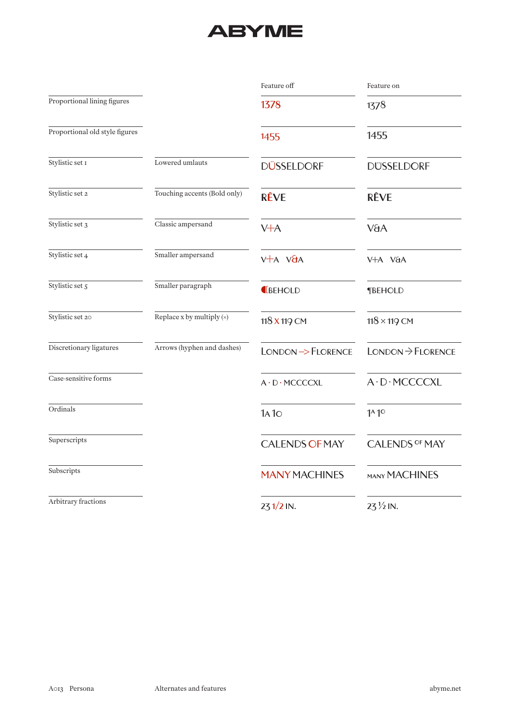|                                |                              | Feature off              | Feature on                    |
|--------------------------------|------------------------------|--------------------------|-------------------------------|
| Proportional lining figures    |                              | 1378                     | 1378                          |
| Proportional old style figures |                              | 1455                     | 1455                          |
| Stylistic set I                | Lowered umlauts              | <b>DÜSSELDORF</b>        | <b>DUSSELDORF</b>             |
| Stylistic set 2                | Touching accents (Bold only) | <b>RÊVE</b>              | <b>RÊVE</b>                   |
| Stylistic set 3                | Classic ampersand            | $V+A$                    | V&A                           |
| Stylistic set 4                | Smaller ampersand            | $V+A VJA$                | V+A V&A                       |
| Stylistic set 5                | Smaller paragraph            | <b>IBEHOLD</b>           | <b>¶BEHOLD</b>                |
| Stylistic set 20               | Replace x by multiply (x)    | 118 X 119 CM             | $118 \times 119$ CM           |
| Discretionary ligatures        | Arrows (hyphen and dashes)   | LONDON->FLORENCE         | $LONDON \rightarrow FLORENCE$ |
| Case-sensitive forms           |                              | $A \cdot D \cdot MCCCCL$ | A . D . MCCCCXL               |
| Ordinals                       |                              | 1A1O                     | $1^A1^O$                      |
| Superscripts                   |                              | <b>CALENDS OF MAY</b>    | <b>CALENDS OF MAY</b>         |
| Subscripts                     |                              | <b>MANY MACHINES</b>     | <b>MANY MACHINES</b>          |
| Arbitrary fractions            |                              | $231/2$ IN.              | 23 1/2 IN.                    |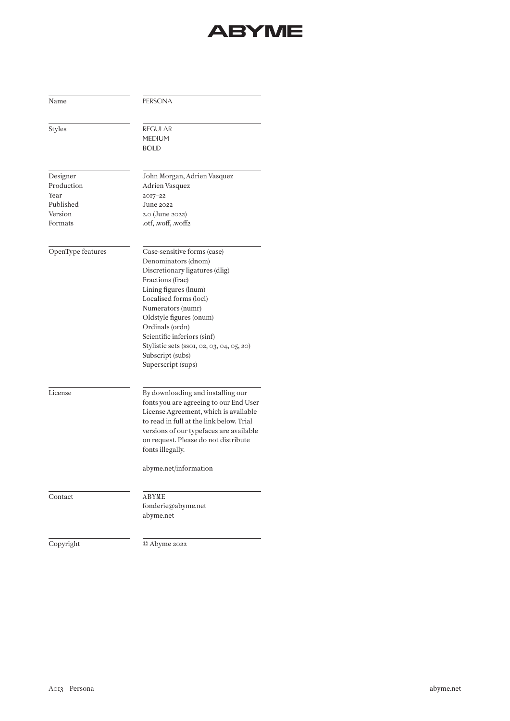| Name              | <b>PERSONA</b>                            |  |  |
|-------------------|-------------------------------------------|--|--|
| <b>Styles</b>     | <b>REGULAR</b>                            |  |  |
|                   | <b>MEDIUM</b>                             |  |  |
|                   | <b>BOLD</b>                               |  |  |
| Designer          | John Morgan, Adrien Vasquez               |  |  |
| Production        | Adrien Vasquez                            |  |  |
| Year              | $2017 - 22$                               |  |  |
| Published         | June $2022$                               |  |  |
| Version           | 2.0 (June 2022)                           |  |  |
| Formats           | .otf, woff, woff2                         |  |  |
| OpenType features | Case-sensitive forms (case)               |  |  |
|                   | Denominators (dnom)                       |  |  |
|                   | Discretionary ligatures (dlig)            |  |  |
|                   | Fractions (frac)                          |  |  |
|                   | Lining figures (lnum)                     |  |  |
|                   | Localised forms (locl)                    |  |  |
|                   | Numerators (numr)                         |  |  |
|                   | Oldstyle figures (onum)                   |  |  |
|                   | Ordinals (ordn)                           |  |  |
|                   | Scientific inferiors (sinf)               |  |  |
|                   | Stylistic sets (sso1, 02, 03, 04, 05, 20) |  |  |
|                   | Subscript (subs)                          |  |  |
|                   | Superscript (sups)                        |  |  |
| License           | By downloading and installing our         |  |  |
|                   | fonts you are agreeing to our End User    |  |  |
|                   | License Agreement, which is available     |  |  |
|                   | to read in full at the link below. Trial  |  |  |
|                   | versions of our typefaces are available   |  |  |
|                   | on request. Please do not distribute      |  |  |
|                   | fonts illegally.                          |  |  |
|                   | abyme.net/information                     |  |  |
| Contact           | ABYME                                     |  |  |
|                   | fonderie@abyme.net                        |  |  |
|                   | abyme.net                                 |  |  |
| Copyright         | © Abyme 2022                              |  |  |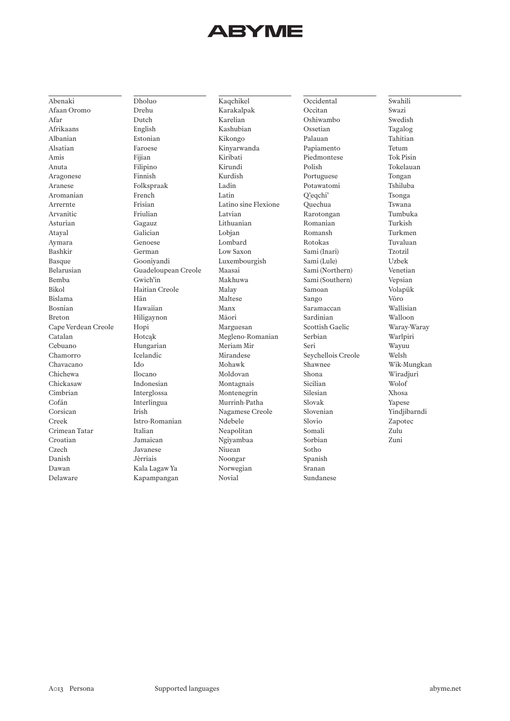Abenaki Afaan Oromo Afar Afrikaans Albanian Alsatian Amis Anuta Aragonese Aranese Aromanian Arrernte Arvanitic Asturian Atayal Aymara Bashkir Basque Belarusian Bemba Bikol Bislama Bosnian Breton Cape Verdean Creole Catalan Cebuano Chamorro Chavacano Chichewa Chickasaw Cimbrian Cofán Corsican Creek Crimean Tatar Croatian Czech Danish Dawan Delaware

Dholuo Drehu Dutch English Estonian Faroese Fijian Filipino Finnish Folkspraak French Frisian Friulian Gagauz Galician Genoese German Gooniyandi Guadeloupean Creole Gwich'in Haitian Creole Hän Hawaiian Hiligaynon Hopi Hotcąk Hungarian Icelandic Ido Ilocano Indonesian Interglossa Interlingua Irish Istro-Romanian Italian Jamaican Javanese Jèrriais Kala Lagaw Ya Kapampangan

Kaqchikel Karakalpak Karelian Kashubian Kikongo Kinyarwanda Kiribati Kirundi Kurdish Ladin Latin Latino sine Flexione Latvian Lithuanian Lobjan Lombard Low Saxon Luxembourgish Maasai Makhuwa Malay Maltese Manx Māori Marguesan Megleno-Romanian Meriam Mir Mirandese Mohawk Moldovan Montagnais Montenegrin Murrinh-Patha Nagamese Creole Ndebele Neapolitan Ngiyambaa Niuean Noongar Norwegian Novial

Occidental Occitan Oshiwambo Ossetian Palauan Papiamento Piedmontese Polish Portuguese Potawatomi Q'eqchi' Quechua Rarotongan Romanian Romansh Rotokas Sami (Inari) Sami (Lule) Sami (Northern) Sami (Southern) Samoan Sango Saramaccan Sardinian Scottish Gaelic Serbian Seri Seychellois Creole Shawnee Shona Sicilian Silesian Slovak Slovenian Slovio Somali Sorbian Sotho Spanish Sranan Sundanese

Swahili Swazi Swedish Tagalog Tahitian Tetum Tok Pisin Tokelauan Tongan Tshiluba Tsonga Tswana Tumbuka Turkish Turkmen Tuvaluan Tzotzil Uzbek Venetian Vepsian Volapük Võro Wallisian Walloon Waray-Waray Warlpiri Wayuu Welsh Wik-Mungkan Wiradjuri Wolof Xhosa Yapese Yindjibarndi Zapotec Zulu Zuni